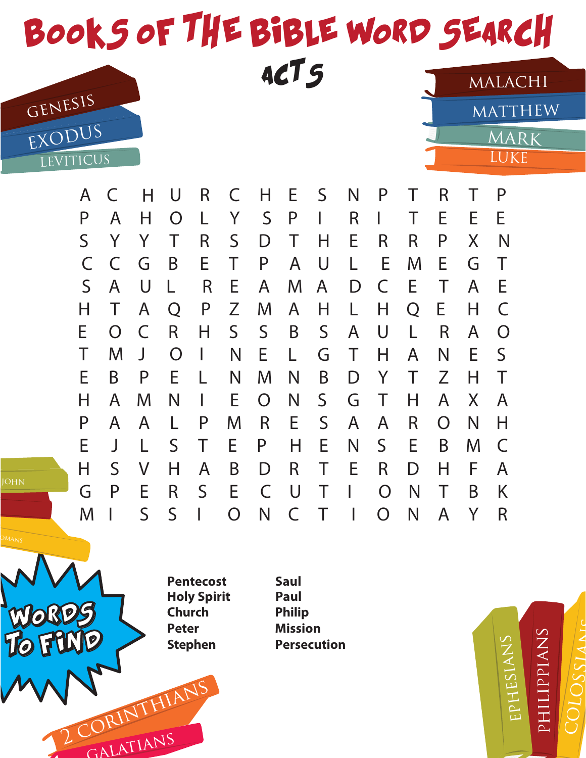

| $\cdots$    |                | . .          | $\checkmark$ | . . | $\overline{\phantom{0}}$ | . .            | ►            | $\tilde{\phantom{a}}$ | . v |                | п. | . .            | п. |                |
|-------------|----------------|--------------|--------------|-----|--------------------------|----------------|--------------|-----------------------|-----|----------------|----|----------------|----|----------------|
|             | A              |              | $\bigcirc$   | L   | Y                        | S              | P            | L                     | R   | I              |    | Е              | E. | E.             |
|             | Y              | Y            | Τ            | R   | $\mathsf S$              | D              | $\top$       | Η                     | Е   | R              | R  | P              | Χ  | N              |
| C           | C              | G            | B            | Е   | Τ                        | P              | A            | U                     | L   | E              | M  | Е              | G  | Τ              |
| $\mathsf S$ | A              | U            | L            | R   | Е                        | A              | M            | $\mathsf{A}$          | D   | C              | Е  | Τ              | A  | E              |
| H           |                | A            | Q            | P   | Z                        | M              | $\mathsf{A}$ | Н                     | L   | н              | Q  | E.             | H  | $\mathsf C$    |
| E           | $\overline{O}$ | C            | R            | Η   | S                        | $\mathsf{S}$   | B            | $\mathsf S$           | A   | U              | L  | R              | A  | $\overline{O}$ |
|             | M              | J            | O            |     | N                        | E              | L            | G                     | Τ   | Н              | A  | N              | E  | S.             |
| E           | B              | P            | E            |     | N                        | M              | N            | B                     | D   | Y              | T  | Z              | Н  | Τ              |
| H           | A              | M            | N            | L   | E.                       | $\overline{O}$ | N            | $S_{\cdot}$           | G   | Τ              | H  | A              | X  | $\mathsf{A}$   |
| P           | A              | $\mathsf{A}$ | L            | P   | M                        | R              | E            | $\mathsf S$           | A   | A              | R  | $\overline{O}$ | N  | Η              |
| E           |                |              | S            | Τ   | E                        | P              | Н            | Е                     | N   | $\mathsf S$    | E  | B              | M  | $\mathsf C$    |
| H           | S              | V            | Н            | A   | B                        | D              | R            | Τ                     | Е   | R              | D  | Η              | F  | A              |
| G           | P              | E            | R            | S   | Е                        | C              | U            |                       |     | $\overline{O}$ | N  | Τ              | B  | K              |
| M           |                | $\mathsf S$  | S            |     | O                        | N              | C            |                       |     | $\overline{O}$ | N  | A              | Υ  | $\mathsf R$    |



WORDS

john

**FRND** 

2 CORINTHIANS

galatians

**Philip Mission Persecution Saul**